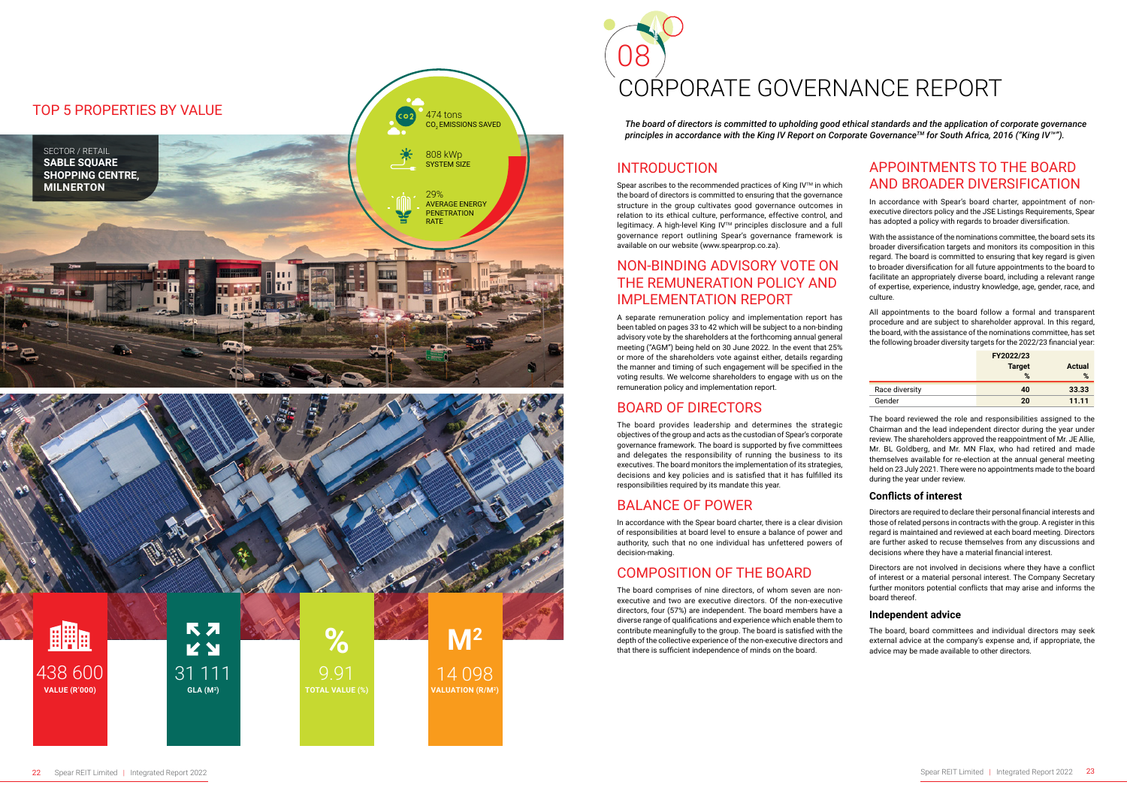# *The board of directors is committed to upholding good ethical standards and the application of corporate governance*

*principles in accordance with the King IV Report on Corporate GovernanceTM for South Africa, 2016 ("King IV™").*

#### INTRODUCTION

Spear ascribes to the recommended practices of King IV™ in which the board of directors is committed to ensuring that the governance structure in the group cultivates good governance outcomes in relation to its ethical culture, performance, effective control, and legitimacy. A high-level King IV™ principles disclosure and a full governance report outlining Spear's governance framework is available on our website (www.spearprop.co.za).

#### NON-BINDING ADVISORY VOTE ON THE REMUNERATION POLICY AND IMPLEMENTATION REPORT

A separate remuneration policy and implementation report has been tabled on pages 33 to 42 which will be subject to a non-binding advisory vote by the shareholders at the forthcoming annual general meeting ("AGM") being held on 30 June 2022. In the event that 25% or more of the shareholders vote against either, details regarding the manner and timing of such engagement will be specified in the voting results. We welcome shareholders to engage with us on the remuneration policy and implementation report.

#### BOARD OF DIRECTORS

The board provides leadership and determines the strategic objectives of the group and acts as the custodian of Spear's corporate governance framework. The board is supported by five committees and delegates the responsibility of running the business to its executives. The board monitors the implementation of its strategies, decisions and key policies and is satisfied that it has fulfilled its responsibilities required by its mandate this year.

# BALANCE OF POWER

In accordance with the Spear board charter, there is a clear division of responsibilities at board level to ensure a balance of power and authority, such that no one individual has unfettered powers of decision-making.

# COMPOSITION OF THE BOARD

The board comprises of nine directors, of whom seven are nonexecutive and two are executive directors. Of the non-executive directors, four (57%) are independent. The board members have a diverse range of qualifications and experience which enable them to contribute meaningfully to the group. The board is satisfied with the depth of the collective experience of the non-executive directors and that there is sufficient independence of minds on the board.

# 08 CORPORATE GOVERNANCE REPORT

#### APPOINTMENTS TO THE BOARD AND BROADER DIVERSIFICATION

In accordance with Spear's board charter, appointment of nonexecutive directors policy and the JSE Listings Requirements, Spear has adopted a policy with regards to broader diversification.

With the assistance of the nominations committee, the board sets its broader diversification targets and monitors its composition in this regard. The board is committed to ensuring that key regard is given to broader diversification for all future appointments to the board to facilitate an appropriately diverse board, including a relevant range of expertise, experience, industry knowledge, age, gender, race, and culture.

All appointments to the board follow a formal and transparent procedure and are subject to shareholder approval. In this regard, the board, with the assistance of the nominations committee, has set the following broader diversity targets for the 2022/23 financial year:

|                | FY2022/23<br><b>Target</b> | <b>Actual</b> |
|----------------|----------------------------|---------------|
|                | %                          | %             |
| Race diversity | 40                         | 33.33         |
| Gender         | 20                         | 11.11         |

The board reviewed the role and responsibilities assigned to the Chairman and the lead independent director during the year under review. The shareholders approved the reappointment of Mr. JE Allie, Mr. BL Goldberg, and Mr. MN Flax, who had retired and made themselves available for re-election at the annual general meeting held on 23 July 2021. There were no appointments made to the board during the year under review.

#### **Conflicts of interest**

Directors are required to declare their personal financial interests and those of related persons in contracts with the group. A register in this regard is maintained and reviewed at each board meeting. Directors are further asked to recuse themselves from any discussions and decisions where they have a material financial interest.

Directors are not involved in decisions where they have a conflict of interest or a material personal interest. The Company Secretary further monitors potential conflicts that may arise and informs the board thereof.

#### **Independent advice**

The board, board committees and individual directors may seek external advice at the company's expense and, if appropriate, the advice may be made available to other directors.